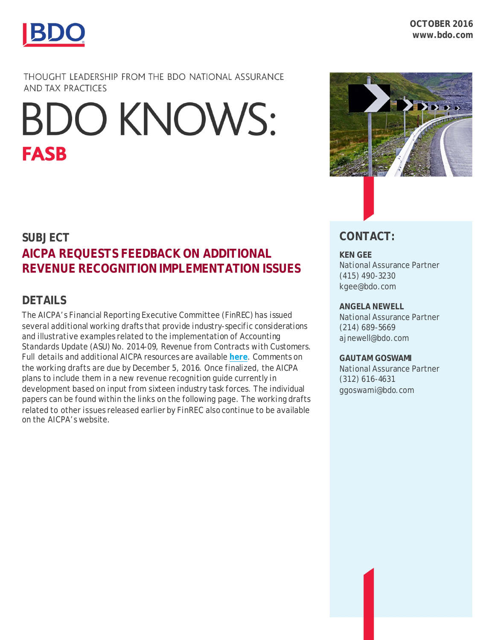

THOUGHT LEADERSHIP FROM THE BDO NATIONAL ASSURANCE **AND TAX PRACTICES** 

# **BDO KNOWS: FASB**

## **SUBJECT AICPA REQUESTS FEEDBACK ON ADDITIONAL REVENUE RECOGNITION IMPLEMENTATION ISSUES**

### **DETAILS**

The AICPA's Financial Reporting Executive Committee (FinREC) has issued several additional working drafts that provide industry-specific considerations and illustrative examples related to the implementation of Accounting Standards Update (ASU) No. 2014-09, *Revenue from Contracts with Customers*. Full details and additional AICPA resources are available **[here](http://www.aicpa.org/InterestAreas/FRC/AccountingFinancialReporting/RevenueRecognition/Pages/RevenueRecognition.aspx)**. Comments on the working drafts are due by December 5, 2016. Once finalized, the AICPA plans to include them in a new revenue recognition guide currently in development based on input from sixteen industry task forces. The individual papers can be found within the links on the following page. The working drafts related to other issues released earlier by FinREC also continue to be available on the AICPA's website.



## **CONTACT:**

#### **KEN GEE**

National Assurance Partner (415) 490-3230 kgee@bdo.com

#### **ANGELA NEWELL**

National Assurance Partner (214) 689-5669 ajnewell@bdo.com

#### **GAUTAM GOSWAMI**

National Assurance Partner (312) 616-4631 ggoswami@bdo.com